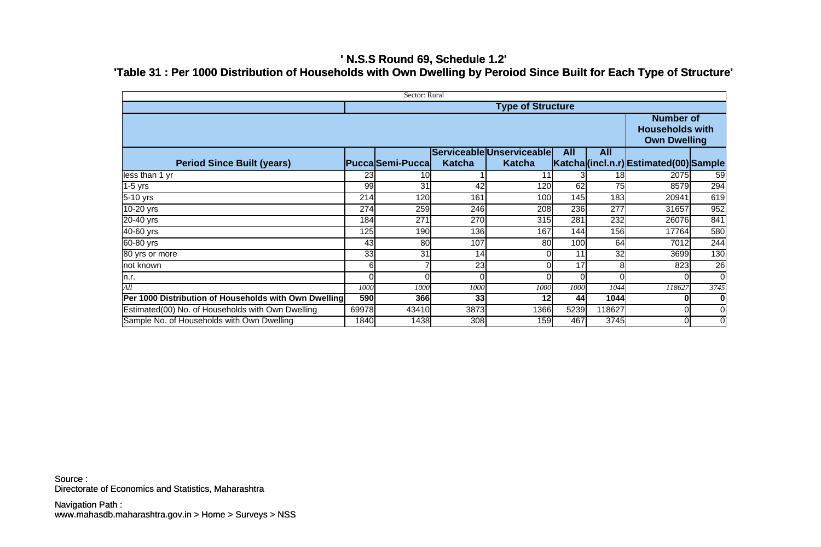## **' N.S.S Round 69, Schedule 1.2' 'Table 31 : Per 1000 Distribution of Households with Own Dwelling by Peroiod Since Built for Each Type of Structure'**

| Sector: Rural                                         |       |                         |               |                           |            |                 |                                                                   |                 |  |  |
|-------------------------------------------------------|-------|-------------------------|---------------|---------------------------|------------|-----------------|-------------------------------------------------------------------|-----------------|--|--|
| <b>Type of Structure</b>                              |       |                         |               |                           |            |                 |                                                                   |                 |  |  |
|                                                       |       |                         |               |                           |            |                 | <b>Number of</b><br><b>Households with</b><br><b>Own Dwelling</b> |                 |  |  |
|                                                       |       |                         |               | Serviceable Unserviceable | <b>All</b> | <b>All</b>      |                                                                   |                 |  |  |
| <b>Period Since Built (years)</b>                     |       | <b>Pucca</b> Semi-Pucca | <b>Katcha</b> | <b>Katcha</b>             |            |                 | Katcha (incl.n.r) Estimated (00) Sample                           |                 |  |  |
| less than 1 yr                                        | 23    | 10                      |               | 11                        |            | 18 <sub>l</sub> | 2075                                                              | 59              |  |  |
| $1-5$ yrs                                             | 99    | 31                      | 42            | 120                       | 62         | 75              | 8579                                                              | 294             |  |  |
| 5-10 yrs                                              | 214   | 120                     | 161           | 100                       | 145        | 183             | 20941                                                             | 619             |  |  |
| 10-20 yrs                                             | 274   | 259                     | 246           | 208                       | 236        | 277             | 31657                                                             | 952             |  |  |
| 20-40 yrs                                             | 184   | 271                     | 270           | 315                       | 281        | 232             | 26076                                                             | 841             |  |  |
| 40-60 yrs                                             | 125   | 190                     | 136           | 167                       | 144        | 156             | 17764                                                             | 580             |  |  |
| 60-80 yrs                                             | 43    | 80                      | 107           | 80                        | 100        | 64              | 7012                                                              | 244             |  |  |
| 80 yrs or more                                        | 33    | 31                      | 14            |                           | 11         | 32              | 3699                                                              | 130             |  |  |
| not known                                             |       |                         | 23            |                           | 17         | 8l              | 823                                                               | $\overline{26}$ |  |  |
| n.r.                                                  |       |                         | $\Omega$      |                           | ΩI         |                 |                                                                   | $\overline{0}$  |  |  |
| All                                                   | 1000  | 1000                    | 1000          | 1000                      | 1000       | 1044            | 118627                                                            | 3745            |  |  |
| Per 1000 Distribution of Households with Own Dwelling | 590   | 366                     | $33$          | 12                        | 44         | 1044            |                                                                   | 0               |  |  |
| Estimated(00) No. of Households with Own Dwelling     | 69978 | 43410                   | 3873          | 1366                      | 5239       | 118627          |                                                                   | $\overline{0}$  |  |  |
| Sample No. of Households with Own Dwelling            | 1840  | 1438                    | 308           | 159                       | 467        | 3745            | 0l                                                                | $\overline{0}$  |  |  |

Directorate of Economics and Statistics, Maharashtra Source :

www.mahasdb.maharashtra.gov.in > Home > Surveys > NSS Navigation Path :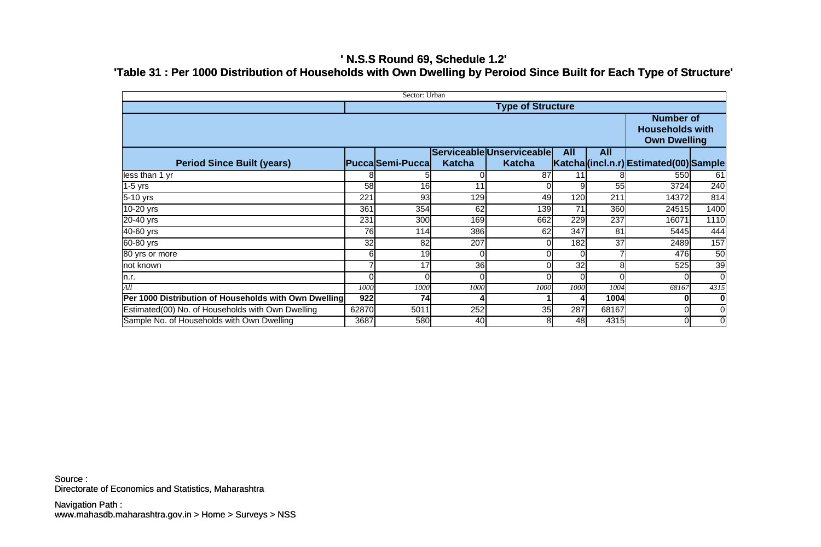## **' N.S.S Round 69, Schedule 1.2' 'Table 31 : Per 1000 Distribution of Households with Own Dwelling by Peroiod Since Built for Each Type of Structure'**

| Sector: Urban                                         |       |                         |               |                           |            |            |                                                                   |                 |  |  |
|-------------------------------------------------------|-------|-------------------------|---------------|---------------------------|------------|------------|-------------------------------------------------------------------|-----------------|--|--|
| <b>Type of Structure</b>                              |       |                         |               |                           |            |            |                                                                   |                 |  |  |
|                                                       |       |                         |               |                           |            |            | <b>Number of</b><br><b>Households with</b><br><b>Own Dwelling</b> |                 |  |  |
|                                                       |       |                         |               | Serviceable Unserviceable | <b>All</b> | <b>All</b> |                                                                   |                 |  |  |
| <b>Period Since Built (years)</b>                     |       | <b>Pucca</b> Semi-Pucca | <b>Katcha</b> | <b>Katcha</b>             |            |            | Katcha (incl.n.r) Estimated (00) Sample                           |                 |  |  |
| less than 1 yr                                        |       |                         | 0             | 87                        | 11         |            | 550                                                               | 61              |  |  |
| $1-5$ yrs                                             | 58    | 16                      | 11            |                           |            | 55         | 3724                                                              | 240             |  |  |
| 5-10 yrs                                              | 221   | 93                      | 129           | 49                        | 120        | 211        | 14372                                                             | 814             |  |  |
| 10-20 yrs                                             | 361   | 354                     | 62            | 139                       | 71         | 360        | 24515                                                             | 1400            |  |  |
| 20-40 yrs                                             | 231   | 300                     | 169           | 662                       | 229        | 237        | 16071                                                             | 1110            |  |  |
| 40-60 yrs                                             | 76    | 114                     | 386           | 62                        | 347        | 81         | 5445                                                              | 444             |  |  |
| 60-80 yrs                                             | 32    | 82                      | 207           |                           | 182        | 37         | 2489                                                              | 157             |  |  |
| 80 yrs or more                                        |       | 19                      | 0             |                           |            |            | 476                                                               | 50              |  |  |
| not known                                             |       | 17                      | 36            |                           | 32         | 8l         | 525                                                               | $\overline{39}$ |  |  |
| n.r.                                                  |       |                         | $\Omega$      |                           |            |            |                                                                   | $\overline{0}$  |  |  |
| All                                                   | 1000  | 1000                    | 1000          | 1000                      | 1000       | 1004       | 68167                                                             | 4315            |  |  |
| Per 1000 Distribution of Households with Own Dwelling | 922   | 74                      |               |                           |            | 1004       |                                                                   | 0               |  |  |
| Estimated(00) No. of Households with Own Dwelling     | 62870 | 5011                    | 252           | 35                        | 287        | 68167      |                                                                   | $\overline{0}$  |  |  |
| Sample No. of Households with Own Dwelling            | 3687  | 580                     | 40            | 8                         | 48         | 4315       | $\overline{0}$                                                    | $\overline{0}$  |  |  |

Directorate of Economics and Statistics, Maharashtra Source :

www.mahasdb.maharashtra.gov.in > Home > Surveys > NSS Navigation Path :